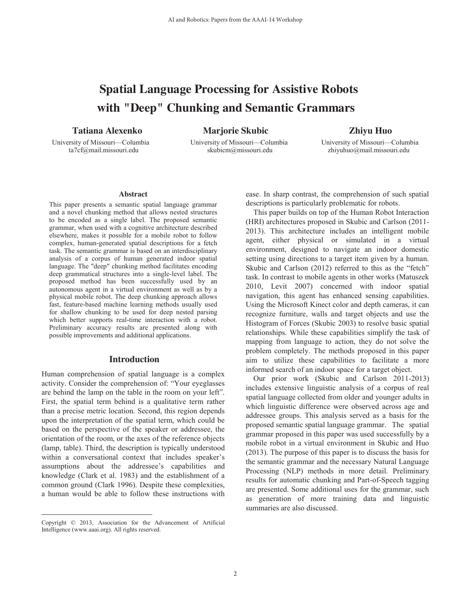# **Spatial Language Processing for Assistive Robots with "Deep" Chunking and Semantic Grammars**

**Tatiana Alexenko Marjorie Skubic Zhiyu Huo**

University of Missouri—Columbia University of Missouri—Columbia University of Missouri—Columbia ta7cf@mail.missouri.edu skubicm@missouri.edu zhiyuhuo@mail.missouri.edu

#### **Abstract**

This paper presents a semantic spatial language grammar and a novel chunking method that allows nested structures to be encoded as a single label. The proposed semantic grammar, when used with a cognitive architecture described elsewhere, makes it possible for a mobile robot to follow complex, human-generated spatial descriptions for a fetch task. The semantic grammar is based on an interdisciplinary analysis of a corpus of human generated indoor spatial language. The "deep" chunking method facilitates encoding deep grammatical structures into a single-level label. The proposed method has been successfully used by an autonomous agent in a virtual environment as well as by a physical mobile robot. The deep chunking approach allows fast, feature-based machine learning methods usually used for shallow chunking to be used for deep nested parsing which better supports real-time interaction with a robot. Preliminary accuracy results are presented along with possible improvements and additional applications.

#### **Introduction**

Human comprehension of spatial language is a complex activity. Consider the comprehension of: "Your eyeglasses are behind the lamp on the table in the room on your left". First, the spatial term behind is a qualitative term rather than a precise metric location. Second, this region depends upon the interpretation of the spatial term, which could be based on the perspective of the speaker or addressee, the orientation of the room, or the axes of the reference objects (lamp, table). Third, the description is typically understood within a conversational context that includes speaker's assumptions about the addressee's capabilities and knowledge (Clark et al. 1983) and the establishment of a common ground (Clark 1996). Despite these complexities, a human would be able to follow these instructions with

 $\overline{a}$ 

ease. In sharp contrast, the comprehension of such spatial descriptions is particularly problematic for robots.

 This paper builds on top of the Human Robot Interaction (HRI) architectures proposed in Skubic and Carlson (2011- 2013). This architecture includes an intelligent mobile agent, either physical or simulated in a virtual environment, designed to navigate an indoor domestic setting using directions to a target item given by a human. Skubic and Carlson (2012) referred to this as the "fetch" task. In contrast to mobile agents in other works (Matuszek 2010, Levit 2007) concerned with indoor spatial navigation, this agent has enhanced sensing capabilities. Using the Microsoft Kinect color and depth cameras, it can recognize furniture, walls and target objects and use the Histogram of Forces (Skubic 2003) to resolve basic spatial relationships. While these capabilities simplify the task of mapping from language to action, they do not solve the problem completely. The methods proposed in this paper aim to utilize these capabilities to facilitate a more informed search of an indoor space for a target object.

 Our prior work (Skubic and Carlson 2011-2013) includes extensive linguistic analysis of a corpus of real spatial language collected from older and younger adults in which linguistic difference were observed across age and addressee groups. This analysis served as a basis for the proposed semantic spatial language grammar. The spatial grammar proposed in this paper was used successfully by a mobile robot in a virtual environment in Skubic and Huo (2013). The purpose of this paper is to discuss the basis for the semantic grammar and the necessary Natural Language Processing (NLP) methods in more detail. Preliminary results for automatic chunking and Part-of-Speech tagging are presented. Some additional uses for the grammar, such as generation of more training data and linguistic summaries are also discussed.

Copyright © 2013, Association for the Advancement of Artificial Intelligence (www.aaai.org). All rights reserved.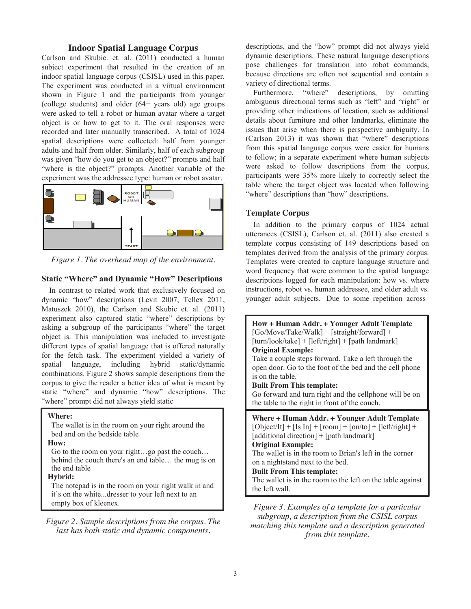### **Indoor Spatial Language Corpus**

Carlson and Skubic. et. al. (2011) conducted a human subject experiment that resulted in the creation of an indoor spatial language corpus (CSISL) used in this paper. The experiment was conducted in a virtual environment shown in Figure 1 and the participants from younger (college students) and older (64+ years old) age groups were asked to tell a robot or human avatar where a target object is or how to get to it. The oral responses were recorded and later manually transcribed. A total of 1024 spatial descriptions were collected: half from younger adults and half from older. Similarly, half of each subgroup was given "how do you get to an object?" prompts and half "where is the object?" prompts. Another variable of the experiment was the addressee type: human or robot avatar.



*Figure 1. The overhead map of the environment.* 

## **Static "Where" and Dynamic "How" Descriptions**

In contrast to related work that exclusively focused on dynamic "how" descriptions (Levit 2007, Tellex 2011, Matuszek 2010), the Carlson and Skubic et. al. (2011) experiment also captured static "where" descriptions by asking a subgroup of the participants "where" the target object is. This manipulation was included to investigate different types of spatial language that is offered naturally for the fetch task. The experiment yielded a variety of spatial language, including hybrid static/dynamic combinations. Figure 2 shows sample descriptions from the corpus to give the reader a better idea of what is meant by static "where" and dynamic "how" descriptions. The "where" prompt did not always yield static

#### **Where:**

The wallet is in the room on your right around the bed and on the bedside table

#### **How:**

Go to the room on your right…go past the couch… behind the couch there's an end table… the mug is on the end table

#### **Hybrid:**

The notepad is in the room on your right walk in and it's on the white...dresser to your left next to an empty box of kleenex.

*Figure 2. Sample descriptions from the corpus. The last has both static and dynamic components.* 

descriptions, and the "how" prompt did not always yield dynamic descriptions. These natural language descriptions pose challenges for translation into robot commands, because directions are often not sequential and contain a variety of directional terms.

Furthermore, "where" descriptions, by omitting ambiguous directional terms such as "left" and "right" or providing other indications of location, such as additional details about furniture and other landmarks, eliminate the issues that arise when there is perspective ambiguity. In (Carlson 2013) it was shown that "where" descriptions from this spatial language corpus were easier for humans to follow; in a separate experiment where human subjects were asked to follow descriptions from the corpus, participants were 35% more likely to correctly select the table where the target object was located when following "where" descriptions than "how" descriptions.

#### **Template Corpus**

 In addition to the primary corpus of 1024 actual utterances (CSISL), Carlson et. al. (2011) also created a template corpus consisting of 149 descriptions based on templates derived from the analysis of the primary corpus. Templates were created to capture language structure and word frequency that were common to the spatial language descriptions logged for each manipulation: how vs. where instructions, robot vs. human addressee, and older adult vs. younger adult subjects. Due to some repetition across

| How + Human Addr. + Younger Adult Template<br>$[Go/Move/Take/Walk] + [straight/forward] +$<br>$[turn/look/take] + [left/right] + [path landmark]$<br><b>Original Example:</b><br>Take a couple steps forward. Take a left through the<br>open door. Go to the foot of the bed and the cell phone<br>is on the table.<br><b>Built From This template:</b><br>Go forward and turn right and the cellphone will be on<br>the table to the right in front of the couch. |
|---------------------------------------------------------------------------------------------------------------------------------------------------------------------------------------------------------------------------------------------------------------------------------------------------------------------------------------------------------------------------------------------------------------------------------------------------------------------|
| Where + Human Addr. + Younger Adult Template<br>$[Object/It] + [Is In] + [room] + [on/to] + [left/right] +$<br>[additional direction] + [path landmark]<br><b>Original Example:</b><br>The wallet is in the room to Brian's left in the corner<br>on a nightstand next to the bed.<br><b>Built From This template:</b><br>The wallet is in the room to the left on the table against<br>the left wall.                                                              |
| Figure 3. Examples of a template for a particular                                                                                                                                                                                                                                                                                                                                                                                                                   |

*subgroup, a description from the CSISL corpus matching this template and a description generated from this template.*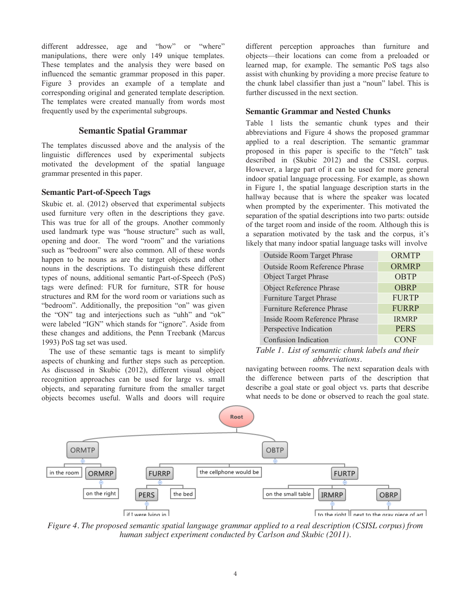different addressee, age and "how" or "where" manipulations, there were only 149 unique templates. These templates and the analysis they were based on influenced the semantic grammar proposed in this paper. Figure 3 provides an example of a template and corresponding original and generated template description. The templates were created manually from words most frequently used by the experimental subgroups.

### **Semantic Spatial Grammar**

The templates discussed above and the analysis of the linguistic differences used by experimental subjects motivated the development of the spatial language grammar presented in this paper.

#### **Semantic Part-of-Speech Tags**

Skubic et. al. (2012) observed that experimental subjects used furniture very often in the descriptions they gave. This was true for all of the groups. Another commonly used landmark type was "house structure" such as wall, opening and door. The word "room" and the variations such as "bedroom" were also common. All of these words happen to be nouns as are the target objects and other nouns in the descriptions. To distinguish these different types of nouns, additional semantic Part-of-Speech (PoS) tags were defined: FUR for furniture, STR for house structures and RM for the word room or variations such as "bedroom". Additionally, the preposition "on" was given the "ON" tag and interjections such as "uhh" and "ok" were labeled "IGN" which stands for "ignore". Aside from these changes and additions, the Penn Treebank (Marcus 1993) PoS tag set was used.

 The use of these semantic tags is meant to simplify aspects of chunking and further steps such as perception. As discussed in Skubic (2012), different visual object recognition approaches can be used for large vs. small objects, and separating furniture from the smaller target objects becomes useful. Walls and doors will require

different perception approaches than furniture and objects—their locations can come from a preloaded or learned map, for example. The semantic PoS tags also assist with chunking by providing a more precise feature to the chunk label classifier than just a "noun" label. This is further discussed in the next section.

#### **Semantic Grammar and Nested Chunks**

Table 1 lists the semantic chunk types and their abbreviations and Figure 4 shows the proposed grammar applied to a real description. The semantic grammar proposed in this paper is specific to the "fetch" task described in (Skubic 2012) and the CSISL corpus. However, a large part of it can be used for more general indoor spatial language processing. For example, as shown in Figure 1, the spatial language description starts in the hallway because that is where the speaker was located when prompted by the experimenter. This motivated the separation of the spatial descriptions into two parts: outside of the target room and inside of the room. Although this is a separation motivated by the task and the corpus, it's likely that many indoor spatial language tasks will involve

| Outside Room Target Phrase        | ORMTP        |
|-----------------------------------|--------------|
| Outside Room Reference Phrase     | <b>ORMRP</b> |
| <b>Object Target Phrase</b>       | <b>OBTP</b>  |
| Object Reference Phrase           | <b>OBRP</b>  |
| Furniture Target Phrase           | <b>FURTP</b> |
| <b>Furniture Reference Phrase</b> | <b>FURRP</b> |
| Inside Room Reference Phrase      | <b>IRMRP</b> |
| Perspective Indication            | <b>PERS</b>  |
| <b>Confusion Indication</b>       | JF           |

#### *Table 1. List of semantic chunk labels and their abbreviations.*

navigating between rooms. The next separation deals with the difference between parts of the description that describe a goal state or goal object vs. parts that describe what needs to be done or observed to reach the goal state.



*Figure 4. The proposed semantic spatial language grammar applied to a real description (CSISL corpus) from human subject experiment conducted by Carlson and Skubic (2011).*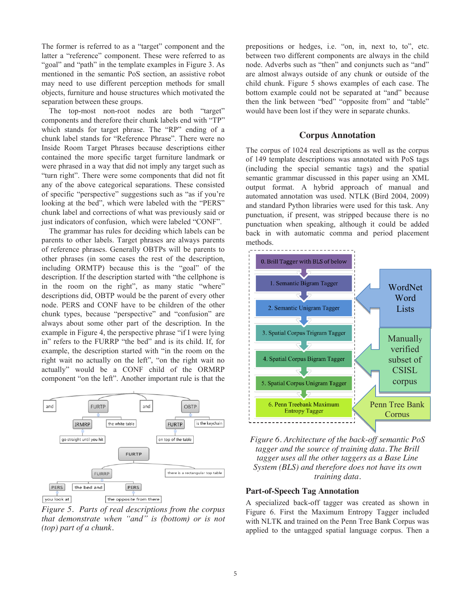The former is referred to as a "target" component and the latter a "reference" component. These were referred to as "goal" and "path" in the template examples in Figure 3. As mentioned in the semantic PoS section, an assistive robot may need to use different perception methods for small objects, furniture and house structures which motivated the separation between these groups.

 The top-most non-root nodes are both "target" components and therefore their chunk labels end with "TP" which stands for target phrase. The "RP" ending of a chunk label stands for "Reference Phrase". There were no Inside Room Target Phrases because descriptions either contained the more specific target furniture landmark or were phrased in a way that did not imply any target such as "turn right". There were some components that did not fit any of the above categorical separations. These consisted of specific "perspective" suggestions such as "as if you're looking at the bed", which were labeled with the "PERS" chunk label and corrections of what was previously said or just indicators of confusion, which were labeled "CONF".

The grammar has rules for deciding which labels can be parents to other labels. Target phrases are always parents of reference phrases. Generally OBTPs will be parents to other phrases (in some cases the rest of the description, including ORMTP) because this is the "goal" of the description. If the description started with "the cellphone is in the room on the right", as many static "where" descriptions did, OBTP would be the parent of every other node. PERS and CONF have to be children of the other chunk types, because "perspective" and "confusion" are always about some other part of the description. In the example in Figure 4, the perspective phrase "if I were lying in" refers to the FURRP "the bed" and is its child. If, for example, the description started with "in the room on the right wait no actually on the left", "on the right wait no actually" would be a CONF child of the ORMRP component "on the left". Another important rule is that the



*Figure 5. Parts of real descriptions from the corpus that demonstrate when "and" is (bottom) or is not (top) part of a chunk.*

prepositions or hedges, i.e. "on, in, next to, to", etc. between two different components are always in the child node. Adverbs such as "then" and conjuncts such as "and" are almost always outside of any chunk or outside of the child chunk. Figure 5 shows examples of each case. The bottom example could not be separated at "and" because then the link between "bed" "opposite from" and "table" would have been lost if they were in separate chunks.

#### **Corpus Annotation**

The corpus of 1024 real descriptions as well as the corpus of 149 template descriptions was annotated with PoS tags (including the special semantic tags) and the spatial semantic grammar discussed in this paper using an XML output format. A hybrid approach of manual and automated annotation was used. NTLK (Bird 2004, 2009) and standard Python libraries were used for this task. Any punctuation, if present, was stripped because there is no punctuation when speaking, although it could be added back in with automatic comma and period placement methods.



*Figure 6. Architecture of the back-off semantic PoS tagger and the source of training data. The Brill tagger uses all the other taggers as a Base Line System (BLS) and therefore does not have its own training data.* 

#### **Part-of-Speech Tag Annotation**

A specialized back-off tagger was created as shown in Figure 6. First the Maximum Entropy Tagger included with NLTK and trained on the Penn Tree Bank Corpus was applied to the untagged spatial language corpus. Then a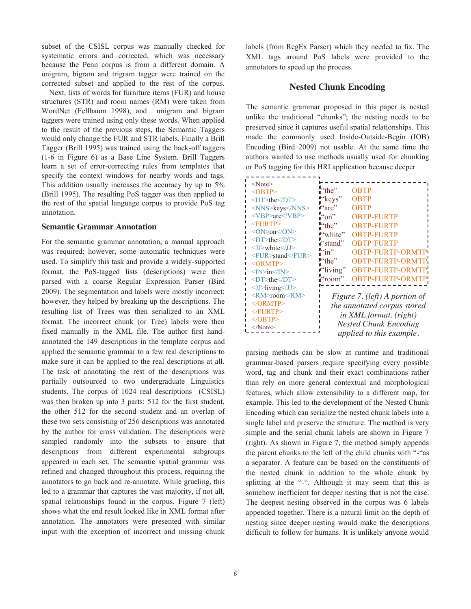subset of the CSISL corpus was manually checked for systematic errors and corrected, which was necessary because the Penn corpus is from a different domain. A unigram, bigram and trigram tagger were trained on the corrected subset and applied to the rest of the corpus.

 Next, lists of words for furniture items (FUR) and house structures (STR) and room names (RM) were taken from WordNet (Fellbaum 1998), and unigram and bigram taggers were trained using only these words. When applied to the result of the previous steps, the Semantic Taggers would only change the FUR and STR labels. Finally a Brill Tagger (Brill 1995) was trained using the back-off taggers (1-6 in Figure 6) as a Base Line System. Brill Taggers learn a set of error-correcting rules from templates that specify the context windows for nearby words and tags. This addition usually increases the accuracy by up to 5% (Brill 1995). The resulting PoS tagger was then applied to the rest of the spatial language corpus to provide PoS tag annotation.

#### **Semantic Grammar Annotation**

For the semantic grammar annotation, a manual approach was required; however, some automatic techniques were used. To simplify this task and provide a widely-supported format, the PoS-tagged lists (descriptions) were then parsed with a coarse Regular Expression Parser (Bird 2009). The segmentation and labels were mostly incorrect; however, they helped by breaking up the descriptions. The resulting list of Trees was then serialized to an XML format. The incorrect chunk (or Tree) labels were then fixed manually in the XML file. The author first handannotated the 149 descriptions in the template corpus and applied the semantic grammar to a few real descriptions to make sure it can be applied to the real descriptions at all. The task of annotating the rest of the descriptions was partially outsourced to two undergraduate Linguistics students. The corpus of 1024 real descriptions (CSISL) was then broken up into 3 parts: 512 for the first student, the other 512 for the second student and an overlap of these two sets consisting of 256 descriptions was annotated by the author for cross validation. The descriptions were sampled randomly into the subsets to ensure that descriptions from different experimental subgroups appeared in each set. The semantic spatial grammar was refined and changed throughout this process, requiring the annotators to go back and re-annotate. While grueling, this led to a grammar that captures the vast majority, if not all, spatial relationships found in the corpus. Figure 7 (left) shows what the end result looked like in XML format after annotation. The annotators were presented with similar input with the exception of incorrect and missing chunk

labels (from RegEx Parser) which they needed to fix. The XML tags around PoS labels were provided to the annotators to speed up the process.

## **Nested Chunk Encoding**

The semantic grammar proposed in this paper is nested unlike the traditional "chunks"; the nesting needs to be preserved since it captures useful spatial relationships. This made the commonly used Inside-Outside-Begin (IOB) Encoding (Bird 2009) not usable. At the same time the authors wanted to use methods usually used for chunking or PoS tagging for this HRI application because deeper

| $<$ Note $>$                                  |                               |                             |  |  |
|-----------------------------------------------|-------------------------------|-----------------------------|--|--|
| <obtp></obtp>                                 | 'the"                         | <b>OBTP</b>                 |  |  |
| $\langle$ DT>the $\langle$ DT>                | 'keys''                       | OBTP                        |  |  |
| <nns>keys</nns>                               | $\mathbf{u}$ are"             | OBTP                        |  |  |
| $<$ VBP>are $<$ /VBP>                         | n"                            | <b>OBTP-FURTP</b>           |  |  |
| <furtp></furtp>                               | 'the''                        | <b>OBTP-FURTP</b>           |  |  |
| $<$ ON>on $<$ /ON>                            | "white"                       | <b>OBTP-FURTP</b>           |  |  |
| <dt>the</dt>                                  | "stand"                       | <b>OBTP-FURTP</b>           |  |  |
| <jj>white</jj>                                | ووياه                         | <b>OBTP-FURTP-ORMT</b>      |  |  |
| <fur>stand</fur><br>$<$ ORMTP>                | "the"                         | <b>OBTP-FURTP-ORMT</b>      |  |  |
| $<\!\!M\!\!>$ in $<\!\!M\!\!>$                | $"$ living"                   | <b>OBTP-FURTP-ORMT</b>      |  |  |
| $\langle$ DT>the $\langle$ DT>                | room"                         | <b>OBTP-FURTP-ORMT</b>      |  |  |
| $\langle$ J $>$ living $\langle$ /J $\rangle$ |                               |                             |  |  |
| <rm>room</rm>                                 | Figure 7. (left) A portion of |                             |  |  |
| $<$ /ORMTP>                                   |                               | the annotated corpus stored |  |  |
| $<$ FURTP>                                    |                               |                             |  |  |
| $<$ /OBTP>                                    | in XML format. (right)        |                             |  |  |
|                                               | <b>Nested Chunk Encoding</b>  |                             |  |  |
|                                               |                               | applied to this example.    |  |  |

parsing methods can be slow at runtime and traditional grammar-based parsers require specifying every possible word, tag and chunk and their exact combinations rather than rely on more general contextual and morphological features, which allow extensibility to a different map, for example. This led to the development of the Nested Chunk Encoding which can serialize the nested chunk labels into a single label and preserve the structure. The method is very simple and the serial chunk labels are shown in Figure 7 (right). As shown in Figure 7, the method simply appends the parent chunks to the left of the child chunks with "-"as a separator. A feature can be based on the constituents of the nested chunk in addition to the whole chunk by splitting at the "-". Although it may seem that this is somehow inefficient for deeper nesting that is not the case. The deepest nesting observed in the corpus was 6 labels appended together. There is a natural limit on the depth of nesting since deeper nesting would make the descriptions difficult to follow for humans. It is unlikely anyone would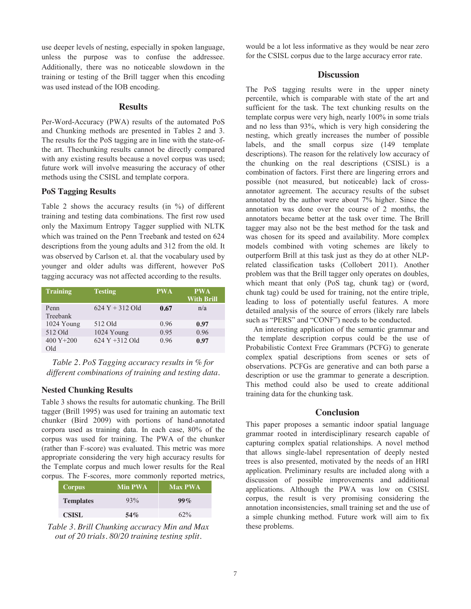use deeper levels of nesting, especially in spoken language, unless the purpose was to confuse the addressee. Additionally, there was no noticeable slowdown in the training or testing of the Brill tagger when this encoding was used instead of the IOB encoding.

### **Results**

Per-Word-Accuracy (PWA) results of the automated PoS and Chunking methods are presented in Tables 2 and 3. The results for the PoS tagging are in line with the state-ofthe art. Thechunking results cannot be directly compared with any existing results because a novel corpus was used; future work will involve measuring the accuracy of other methods using the CSISL and template corpora.

#### **PoS Tagging Results**

Table 2 shows the accuracy results (in %) of different training and testing data combinations. The first row used only the Maximum Entropy Tagger supplied with NLTK which was trained on the Penn Treebank and tested on 624 descriptions from the young adults and 312 from the old. It was observed by Carlson et. al. that the vocabulary used by younger and older adults was different, however PoS tagging accuracy was not affected according to the results.

| <b>Training</b> | <b>Testing</b>     | <b>PWA</b> | <b>PWA</b><br><b>With Brill</b> |
|-----------------|--------------------|------------|---------------------------------|
|                 |                    |            |                                 |
| Penn            | $624$ Y + 312 Old  | 0.67       | n/a                             |
| Treebank        |                    |            |                                 |
| 1024 Young      | 512 Old            | 0.96       | 0.97                            |
| 512 Old         | 1024 Young         | 0.95       | 0.96                            |
| 400 Y $+200$    | $624$ Y $+312$ Old | 0.96       | 0.97                            |
| Old             |                    |            |                                 |

*Table 2. PoS Tagging accuracy results in % for different combinations of training and testing data.* 

#### **Nested Chunking Results**

Table 3 shows the results for automatic chunking. The Brill tagger (Brill 1995) was used for training an automatic text chunker (Bird 2009) with portions of hand-annotated corpora used as training data. In each case, 80% of the corpus was used for training. The PWA of the chunker (rather than F-score) was evaluated. This metric was more appropriate considering the very high accuracy results for the Template corpus and much lower results for the Real corpus. The F-scores, more commonly reported metrics,

| <b>Corpus</b>    | <b>Min PWA</b> | <b>Max PWA</b> |
|------------------|----------------|----------------|
| <b>Templates</b> | 93%            | $99\%$         |
| CSISL            | 54%            | $62\%$         |

*Table 3. Brill Chunking accuracy Min and Max out of 20 trials. 80/20 training testing split.*

would be a lot less informative as they would be near zero for the CSISL corpus due to the large accuracy error rate.

#### **Discussion**

The PoS tagging results were in the upper ninety percentile, which is comparable with state of the art and sufficient for the task. The text chunking results on the template corpus were very high, nearly 100% in some trials and no less than 93%, which is very high considering the nesting, which greatly increases the number of possible labels, and the small corpus size (149 template descriptions). The reason for the relatively low accuracy of the chunking on the real descriptions (CSISL) is a combination of factors. First there are lingering errors and possible (not measured, but noticeable) lack of crossannotator agreement. The accuracy results of the subset annotated by the author were about 7% higher. Since the annotation was done over the course of 2 months, the annotators became better at the task over time. The Brill tagger may also not be the best method for the task and was chosen for its speed and availability. More complex models combined with voting schemes are likely to outperform Brill at this task just as they do at other NLPrelated classification tasks (Collobert 2011). Another problem was that the Brill tagger only operates on doubles, which meant that only (PoS tag, chunk tag) or (word, chunk tag) could be used for training, not the entire triple, leading to loss of potentially useful features. A more detailed analysis of the source of errors (likely rare labels such as "PERS" and "CONF") needs to be conducted.

 An interesting application of the semantic grammar and the template description corpus could be the use of Probabilistic Context Free Grammars (PCFG) to generate complex spatial descriptions from scenes or sets of observations. PCFGs are generative and can both parse a description or use the grammar to generate a description. This method could also be used to create additional training data for the chunking task.

### **Conclusion**

This paper proposes a semantic indoor spatial language grammar rooted in interdisciplinary research capable of capturing complex spatial relationships. A novel method that allows single-label representation of deeply nested trees is also presented, motivated by the needs of an HRI application. Preliminary results are included along with a discussion of possible improvements and additional applications. Although the PWA was low on CSISL corpus, the result is very promising considering the annotation inconsistencies, small training set and the use of a simple chunking method. Future work will aim to fix these problems.